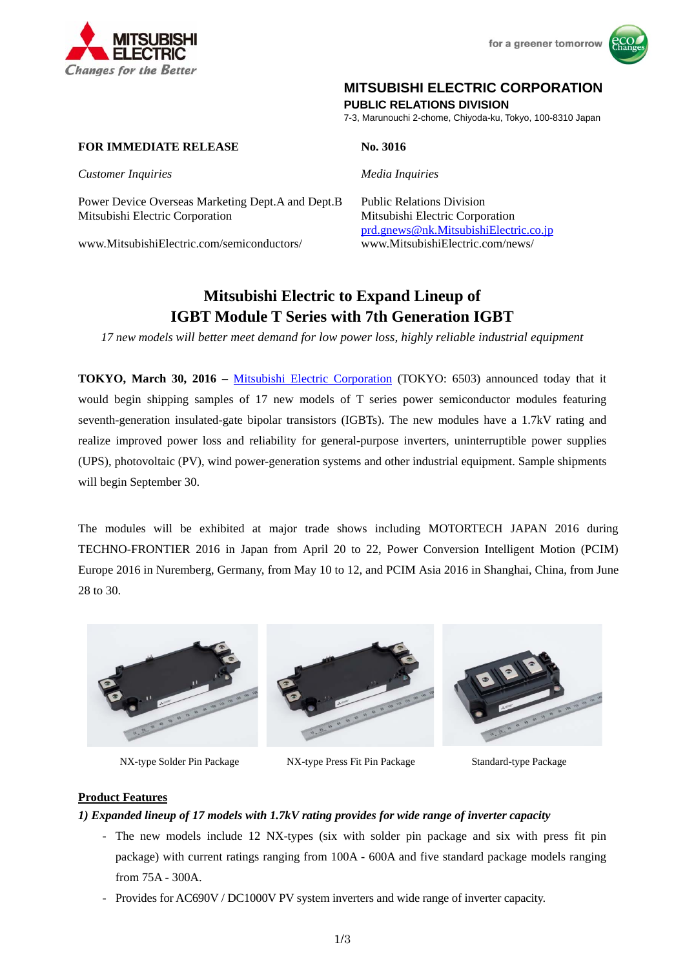



# **MITSUBISHI ELECTRIC CORPORATION**

**PUBLIC RELATIONS DIVISION** 

7-3, Marunouchi 2-chome, Chiyoda-ku, Tokyo, 100-8310 Japan

# **FOR IMMEDIATE RELEASE No. 3016**

*Customer Inquiries Media Inquiries*

Power Device Overseas Marketing Dept.A and Dept.B Public Relations Division Mitsubishi Electric Corporation Mitsubishi Electric Corporation

www.MitsubishiElectric.com/semiconductors/ www.MitsubishiElectric.com/news/

prd.gnews@nk.MitsubishiElectric.co.jp

# **Mitsubishi Electric to Expand Lineup of IGBT Module T Series with 7th Generation IGBT**

*17 new models will better meet demand for low power loss, highly reliable industrial equipment* 

**TOKYO, March 30, 2016** – Mitsubishi Electric Corporation (TOKYO: 6503) announced today that it would begin shipping samples of 17 new models of T series power semiconductor modules featuring seventh-generation insulated-gate bipolar transistors (IGBTs). The new modules have a 1.7kV rating and realize improved power loss and reliability for general-purpose inverters, uninterruptible power supplies (UPS), photovoltaic (PV), wind power-generation systems and other industrial equipment. Sample shipments will begin September 30.

The modules will be exhibited at major trade shows including MOTORTECH JAPAN 2016 during TECHNO-FRONTIER 2016 in Japan from April 20 to 22, Power Conversion Intelligent Motion (PCIM) Europe 2016 in Nuremberg, Germany, from May 10 to 12, and PCIM Asia 2016 in Shanghai, China, from June 28 to 30.



NX-type Solder Pin Package NX-type Press Fit Pin Package Standard-type Package





#### **Product Features**

#### *1) Expanded lineup of 17 models with 1.7kV rating provides for wide range of inverter capacity*

- The new models include 12 NX-types (six with solder pin package and six with press fit pin package) with current ratings ranging from 100A - 600A and five standard package models ranging from 75A - 300A.
- Provides for AC690V / DC1000V PV system inverters and wide range of inverter capacity.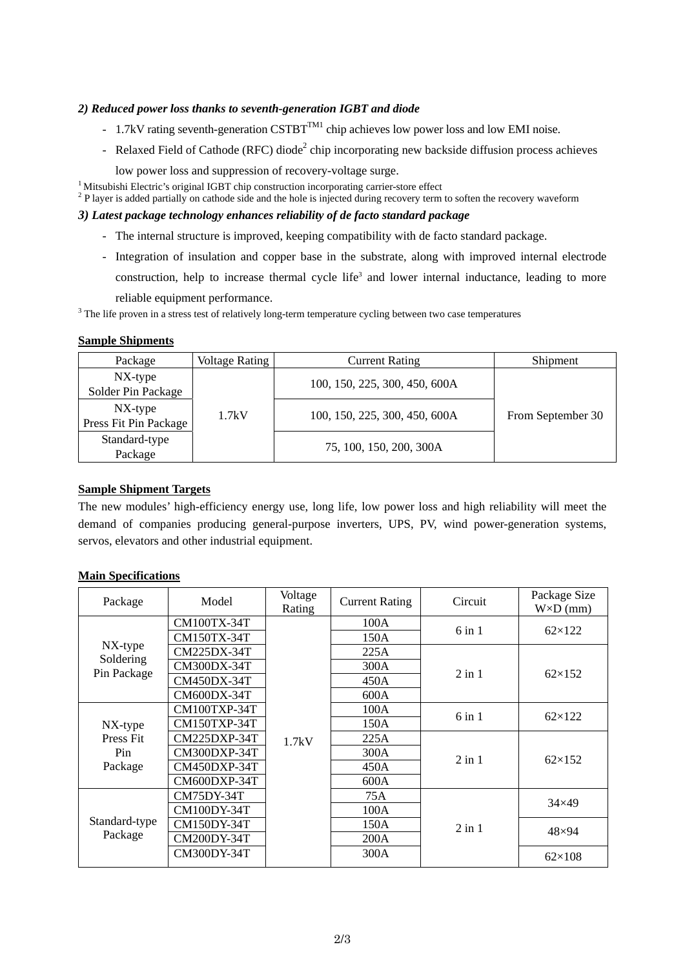### *2) Reduced power loss thanks to seventh-generation IGBT and diode*

- 1.7kV rating seventh-generation  $\text{CSTBT}^{TM1}$  chip achieves low power loss and low EMI noise.
- Relaxed Field of Cathode (RFC) diode<sup>2</sup> chip incorporating new backside diffusion process achieves
	-

low power loss and suppression of recovery-voltage surge.<br><sup>1</sup> Mitsubishi Electric's original IGBT chip construction incorporating carrier-store effect

<sup>2</sup> P layer is added partially on cathode side and the hole is injected during recovery term to soften the recovery waveform

# *3) Latest package technology enhances reliability of de facto standard package*

- The internal structure is improved, keeping compatibility with de facto standard package.
- Integration of insulation and copper base in the substrate, along with improved internal electrode construction, help to increase thermal cycle life<sup>3</sup> and lower internal inductance, leading to more reliable equipment performance.

<sup>3</sup> The life proven in a stress test of relatively long-term temperature cycling between two case temperatures

#### **Sample Shipments**

| Package               | Voltage Rating | <b>Current Rating</b>         | Shipment          |
|-----------------------|----------------|-------------------------------|-------------------|
| $NX$ -type            |                | 100, 150, 225, 300, 450, 600A | From September 30 |
| Solder Pin Package    |                |                               |                   |
| $NX$ -type            | 1.7kV          | 100, 150, 225, 300, 450, 600A |                   |
| Press Fit Pin Package |                |                               |                   |
| Standard-type         |                | 75, 100, 150, 200, 300A       |                   |
| Package               |                |                               |                   |

#### **Sample Shipment Targets**

The new modules' high-efficiency energy use, long life, low power loss and high reliability will meet the demand of companies producing general-purpose inverters, UPS, PV, wind power-generation systems, servos, elevators and other industrial equipment.

| Package                                   | Model              | Voltage<br>Rating | <b>Current Rating</b> | Circuit    | Package Size<br>$W\times D$ (mm) |
|-------------------------------------------|--------------------|-------------------|-----------------------|------------|----------------------------------|
| NX-type<br>Soldering<br>Pin Package       | <b>CM100TX-34T</b> | 1.7kV             | 100A                  | $6$ in $1$ | $62\times122$                    |
|                                           | CM150TX-34T        |                   | 150A                  |            |                                  |
|                                           | CM225DX-34T        |                   | 225A                  | $2$ in $1$ | $62\times152$                    |
|                                           | CM300DX-34T        |                   | 300A                  |            |                                  |
|                                           | CM450DX-34T        |                   | 450A                  |            |                                  |
|                                           | <b>CM600DX-34T</b> |                   | 600A                  |            |                                  |
| $NX$ -type<br>Press Fit<br>Pin<br>Package | CM100TXP-34T       |                   | 100A                  | $6$ in $1$ | $62\times122$                    |
|                                           | CM150TXP-34T       |                   | 150A                  |            |                                  |
|                                           | CM225DXP-34T       |                   | 225A                  | $2$ in $1$ | $62\times152$                    |
|                                           | CM300DXP-34T       |                   | 300A                  |            |                                  |
|                                           | CM450DXP-34T       |                   | 450A                  |            |                                  |
|                                           | CM600DXP-34T       |                   | 600A                  |            |                                  |
| Standard-type<br>Package                  | CM75DY-34T         |                   | 75A                   | $2$ in $1$ | $34\times49$                     |
|                                           | CM100DY-34T        |                   | 100A                  |            |                                  |
|                                           | CM150DY-34T        |                   | 150A                  |            | $48\times94$                     |
|                                           | CM200DY-34T        |                   | 200A                  |            |                                  |
|                                           | CM300DY-34T        |                   | 300A                  |            | $62\times108$                    |

# **Main Specifications**